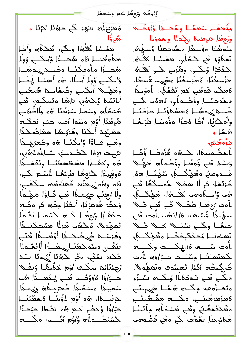وَأَوْحَلا وَرُوهُا هُوم وسُعِدُا

ەَ مَتَهْلُو سَكِي حَوْمًا كَبُرُ لَهُ مَا عَلَيْهِ مَنْ حَدَّثَهُ مَا هْدِؤا محَمْسُلُم للْمَلَاهُ وَمِكَّبٍ مُحَكِّدُهِ وَأَحُلَّا هِدْهِ هُنَّا هُوَ هُجِسَزًا وَّا كُلْبَ وَوِلًا وَٰاٰ لَکْبِ وَٰوِلًا اُۡسُلًا، ۞ه اُهمْسًا بُحُسَا وْهُهُكُلُّ أَمْكُبٍ وِحُمعُكُمْ هُمعَّمَبٍ ٱلمَنْطِ وَحِدهُٯ نَاهَا وَنَسكُـع. هُبِ هُنتمُ أَنْ وِسْمَنَا سَنَوْهُدًا نَهُ وَلَادُّهُ بِ هُرِهُتْا أُوُم مِمْوُا أَصٌر حَمْرٍ نُعكْتُ حعْرِجُمْ أَحكْنُا وفَرْوَحِعُما حعْادُه حَمَّا وهْبِ فَـاوْۤا وۡاٰمكْنُــا هَ٥ وحَٰعنَہــدَا بَيْبِ وَوَٰٓا ۖ كَحُـومِيَّ مِّـَاوُّوْمَارُوْنِ } هَه وكَحُـــَٰٓ;ا ههَغَهههُـلَــا ونَقْعُـــدُّا هُوفَيْ:ا كِرُوهُا هُبِيَّعُـا لِمُمْـع كَبِ. هُم وَهُمْ مِنْ مَا مَعْلَمَهُ مَعْلَمَ مِنْ مَمْلِكَمْ وأَل رُهِبٌ حِيَىلاً هُبِ هَاؤُا هُهُمَالُ وَحدُ: هُممُ ُلُلٌّ أَمثَلُا وِحْمٍ ثَمِ مِحْـمٍ حنْفُۂُا وَ؍ُوهُـا كُــُ كِـشَمْـَا نُخُـهِلًا لْعِدْهَا لَا مَحْجُف مْزِلًا مِسْحِكْنُــدًا وفْزمَك كَهكْمَلْكُمْ أُوُهُمكُمْ هُنَّى للْمَــْمِنْ مِـمْمَــْحَكْــُـلِــٰكِمِـمْمِــزُا لِّلِنُـمَّــٰهِ الْمَــٰفِــٰهِ ئَكْ10 ىغْضْ، ەكْ كەڭ كَ كَتْ مْكْتْ ترجئئائه سكب أؤم كمُبعُبا وُبعَيلا حَسِرًا وَٱوۡكَــد قَبِ لِمَحۡصَدًا هُـد المُعرِّد هَلْكُمْ الْمُؤْمَنَ الْمُؤْمَنَ حرْنُسِــدًا. ۞ه أُوُم لمَوْنِسُــل هَـعجَنْنُــل دَ}}وُّا وُحكَــرٍ كَــمِ هَءٍ نُشَـهِلًا دَءِّدــزًا للسَّمُدُّــــــه أَله وُأَوُم أَثَــــــــــه

وؤهم المعمال وهجاه واوكب ورُوهُا عرضه رجوا وهووما مثَمِشَا مَقَصِيْهِا مِعْمَدِهُمَا وَعَنَهُمْ أَ تَعَكَّوُهُ هُمْ لَكُمُّاتٍ مِحْسَسًا كَلَامُا للكَتْبْلُ وُسْكُـبْ. وهُنْبِ لَكُـبِ لَكْـهُا هُزَّمُهُمَّاً. هُهْزَمُهُمَّا هِهَيَّبٍ وَّمُهَا. ەُھگە قُەھُىي كُم نَقْعُكُن: لَمُوَّسْطُل ەھەدىئىل وۆڭىملۇر، كەنە كىس ضَّــكَــمُــمُـــل هَ مَـمَمْكُمْ ذُنُــل حَدَّنْــل وأهكرُبًا، أَحُلَّ هَجْزًا وذُومُهَا هَٰذُهُمَا  $\bullet$   $\mathring{\mathcal{L}}$  of ڡڔؙ۫ٛٙٙڡۺؙڡ أَحشُومِهُ اللَّهُ وَوَوَوْهُمْ وَوَصَلَّا وَوَصَلَّا وَبِسْمَ مْبِي وَوَهُدَا وِوَّدُه أَنَّهُ مَثْرِيَكُمْ وَ قُدەفصٌ ەھْكُلْسُكُمْ مَكْشَا ھەُا كَرْنُعُا. ثَمِ لًا هكَلا هُومحْكُفًا ثَبِي ائم وَاسْلَمُوهم للْكُسْرَةَ الْمَعْيَكْلَمْ لمُوت رُوهُما هُضْلًا ضَرِ هُبِ شَلًّا مِيهُما أُمِّمُتِكَ، 15/مُعَّبِ الْأَوَتِ شَي صُّمُا وكُبّ سَنْسِلا كَسلا شَلا تَعْمُدُ الْمَحْكَمِ دُدْ الْمَعْكُنَّى لمُهت مُنسسم هُابِهِكْسست وِكْسِسِهِ لَكَعتَمَمَتُكُمْ وَسَمْنُكُمْ دَعَ ٱلْأَوْمَ الْمُوَتَ ضَبِّحْتُمْ أَضُلَ نُعْشُوف ونُعِدُولًا، ەڭب مْب ئەقكْلَا وُݣُـــْ سَــْزْوْ ه تُصِنُّوه الْمُعْ هُكُمْ اللَّهُ بِمُعَيَّمِكُمْ ەھزىدىنىكى: ەڭسە ھقىقىت ەھْلاكْھقَىنّ وھْب ھُتىھْلُھ وِلَمَّنْىل قُلِمَبْرِيُكِمَا بِغَوْنَ ۖ ذَٰى وَقِي قَتَنَبِ وَهِي الْمَرْضَ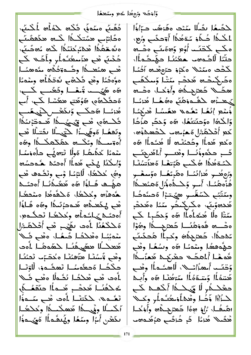ثُقُبَعُ ممُموَّى ثَكْلُه لِمُمْلُه لِمُكْتَبٍ. ەدَاتېب ھىئتكىدا كى ھكقمىت ەئەھەكما ھْلائېكتئىگا گە ئەكىئى، حُكْنَى هُـبِ هزَممعُنُـه اُب وِ اُحَــٰه ۖ كَـبِ هْبِ هِنُعْــدًا وِحُــووْدُاْهِ مِنْوَهْمَــا ەۋەئىُا وھْع ئَىـْـھُــع نُەتىمُلُھ ومْمَمْا هُه هُيُر وَهُما وِكْعُب كُبِّ. ەْھشْلەۋە، ھَوُھُتى ھھَشَا كُب: أَب هُزئُما هُحكَب وِّىكُعْسَى لِنْهِمَسِ الْمُدْبَّدَةَ مِنْ تَجْرِيبُ مِنْ الْمَسْدَّمَةِ مِنْكُمْ وِتَعْمَلْ هُوفَيْ أَيْنَ هُوَ الْمُحَمَّدِينَ الْمُحَمَّدِينَ الْمُحَمَّدِينَ الْمُحَمَّدِينَ الْمُ أەقىمىگا وئڭ بە جكَنْجْكْدُا وقە مْدَمَّا كَدُّىعًا وَولًا نْتِيْنَ فِي حَارُّوْمَمَّا وَّامكْنَا لِكْبِ هَٰداً أَوْضَدْ هُـُدْمَنْهِ وِيُّ كُلْكُلُّ لَٰٓاتِہُـٰلَٰ وَْبِي وِنْشُوڤ مَْبِي هؤُــد قُـاوُّا هُم هُعَّـدُكُـا أُوحِيَّـد هُهِ وُمِ وَحُمْدُا وَحَدَهُ وَهُمَا وَمُحَمَّدًا هْبِ لِمَكْعِبْهُ۞ هُـهِدَرُبُيهُا وَهُ٥ هَـاؤُا أُهضكك كالنُهلُه وحُلاهُا نُصكُوهِ. هُكْكُمُنُا ءُوبٍ نَفْجٍ مِنْ أُفْكِمًـٰ;َ إ شَوِيُبُا وَمُحَدُّلٍ خُنْفُلٍ وَمُن كُلاً هُعطــُلا مفَهِيهُـا لِـنفْمِهُـا لِمُعط وهْبِ قُسُلْهَا هَتُهَلْهَا مَكْتَبُو لَعِمْلًا حكْحُــا هُحعْدُمُــا نْعجَـْـوف لْاوْنْــا لمُوت هُبِ هُجَجُبًا يُضُولًا وهُبِ شَيْئًا هُكْفُسًا هُدخْبِ هُــولًا حنّقْهُــكَي لْعُــٰـٰهِ لا حَكْتَنْــا لِمُوت هُـــب مَحْــووُّا أكْسُلًا وفِّي هُا هُمْكْسِمُّا وِحُكْشًا بكَعْنِ أَجْلَ ومِّمْمًا وهُبْقُوبًا وَهَيْ وَأَ

لِكْتُنَهُا بِمُثَلًا مِنْتُ وَقَوْهُم حَجَّاؤُا لمكْدُا حُكُو مُـٰقفُدُا أَوْحِكُبِ وِرُعٍ. ەڭب ڭخنّىب اُوُم وَھەَينّى ەڭسە حتَّمُا لَّاحُــوهب حمعَّمُنُـا حهُـحَـُـولًا. لَّكْتُد مَمَّنْدْ مَكْبُوْ حَرَّوهُــِهِ أَثْنُـا ەكرېگىشە ھُدشْر مَنْتَا وَمىڭگىپ ھڪَلا ڪُھرُڊِــدُهُ وأُوْحُـا. هڪـه لحدأه للشاه وهنك مشاكر وُعْمَعِ إِنَّهُا يَعْتَمِيا هَمُنْتَا قَدِيْجُنَا وَالْحُدَّةُ اوَحِنَتْنَعُلَ وَهُ وَحِجَّمٍ هِزُجًا كُم أُثْكَمَٰ; أُهُ هَ مُ مِنْ الْأَعْمَاؤُ مِنْ هكَم هُداُل وحَكِنْتُ لَلْ هُنُدَاْلِ هَ كُبِ حِدُّووُنُـا وِهْبِ ٱلْمَرْجِنُـ لكنةهُدُا هُكْب هُبَتِهْا هُعدَتِسْلَا وَرُهِ هُنَا اللَّهُ الْمُؤْمَنُ الْمُؤْمَنُ وَمُعَهْبِ قُذَّەهُمُــا. أَمــو وَلِـــدُّەؤُرلَ هَعمُعــدُالُ ومَتَّبَّعٍ لِمَنَّقَّبٍ هِيَّتَةٍ! هَصَنُّهَكُمْ هُدەوۡبِّ ، ەػ۪ٚڔڲٮۻۢڔ مَمْنَا ەھۡدےٛۢۥ مَنْنَا وَلَا هُدًّەلَا هَوَ وُحصَّرِا كُبِ هصُّده فَهوَهُنُــا كَعْرَجِـــدًا وِهُوْا مُلحكُلُ، حَمْرُجِكُلُّهُ وِكْبِكُلُّا هُحِكْمَبُ حجَّەھھُا ومْعمْل ھُو وسُعُل وقْب هُوهْا أَلمكَد حشْرَجْهِ هُعِنَى الْمُ وَحْتَـب أَعِمْزُاهْـــلا، لْاهِمْــواْلِ وقْب هَنتمُاْ وَحتےہُاْ حَیْرَهُنَا ہُو واْبِ حفحكو لا يُحكِّفُ أَكْفِ كَب كَذَٰآا وَّكَٰا وِقُدَا أَوْحَقُنُـٰه اُرٖ وكَــدَ اهَىعُا. }}; ﴿ وَهَا حَصْرَ جِبْهُ وِأَوْكَـا هُشَمِلًا هُزْمًا ۖ ثَمَّ شُرْهُبٍ هَزْهُدُهُ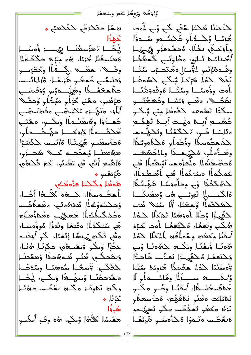هُمُا حثَكَاثُ لَحُكُمْ \* تحهزًا لَحُــا هَعزَمعكنُــا يُحــز وُّهمُــا هُ هزَمعكُمُل هُزِمُلْ. ۞ ه وِيُرِيد حَكْحَـٰـةُ أَل وئَــــلا، ــمعَــــــــلا بكْـــةُ أَا وكتبَــــــــــو وُدِسُمَّے ضَعفُـرِ هُ ُٖممُـا ﴾، 11ائــــ دAْھقْھُــدًا وِهُيَّْــەوِّىرِ وَوْئَىنَـــ هزُهُدِرٍ، مَعَّنْ كَبَٰٓئُهِ وَوَّيْتُلُو وَحَشَّلًا أَلَمُوْ: وَكَهُــزَهِ كَكَبُــرَهُـــع وَدُقَ كَــرَهُ ـــع كَعِسْزُوْا وِرَهُمْعُنُسَا) وُمكْسِرٍ. وَحَمْيَ هَٰٓدُهُـــه أَا وُاوۡدُــــا حهَّىثُـــه أُبِّ هْجَتْنَعْمَــرِ هَيُخْالَ هَالْنُــمِ حَكْتُبْهِ ا هِهَتِعِنْدا وُهِقْعِدِ كَمِيلاً هُجِدَّىٍ؛ ةاهُيم أَبُّه هُم يُعْيِبُنِ، كُمْ شُكْمُوهِ، %تقبر \* هُوهُا وِكُلْمًا فِزُوهُمُو أمضُومهاً فَكُره الْمُحَالِفَ الْمُحَالِ وۡدَكۡنُدُوۡنُهُ أَا ۚ ثُدۡلَاهُ٥نَـ ٖ ؞ ٥ثُعۡكَٰاحَـٰٮ ەكەڭىمگەڭ ئوھەت مەھمۇھەر مْدِ مَنتكَهُلًا هِنْتَهَا وِثَهُوًٰا هُووُّهمُـا. ەھْم ئىكْلەھ ئىمكىگە ( )ئىملىر ئىك ئەھ حكَبَٰٓا وُحكُم قُعْصَدهُ) حكْبُصًا هُصًا. وُبِمُحِكَمٍ مُنْتَ هُدِهِ هَذَا وُهِمُحِتَالَ لحدَّكَبٍ، وَّمعثَكَ مِثَهِ هُمُكَ وَمَّةٍ هُكَ ەھەدەئار كېمەشىل ۋىڭى، بۇڭرا ولَّاه لْلاوِضَۃ هگُده تَفَضَّسہ حَدُّنُـا **یْدُیُل چ مْمَبِرْدُ** همُسُلم للأَهُا وُسْكَىٰ: هُ٥ وضَّر أَسْلَاسِو

كَنْمَتْنَا هَكْمًا هَثْمٍ كُلٍّ وْبِ لِمُوت هُزئُما وَحَـــهُ أَبِرٍ كَحَسَّــوو مَّـــووُّا وأوتُمكَ بدُلًا: هُجِعْجُودُرٖ فَيُحِيَٰهَا أَهْمَلَائِـA نَـٰارُو. دَخَاوْنَىــ كَـْعَـٰدَكَـٰا وڤَـهقَزُمُــر اؤُـــرْل ههُـدَحــَرَب مَنْـَـا نَكْلًا لَحْمَٰا هُبْكُما وُلِّكُمْ لَحْقَدْهُمَا لمْوَد وِذُومُسًا وِمَثْسًا وُوِقُووَهُنَا ىكْشْما ، ەقى زىُسُما وشْقەئكْس سكْتُا نْھُەم، حْقُومُا وْبْ وُحْب حَمَّىــــم أبــــم ميُـــد أبـــم ثمينَـــم ەئلىنىل ئىبن ەَخْكْفُنُا وِنْحَجْْدَهَا للأحدُ ممارًا ووُدُولُه وَكَلْمَوتَكُم وهُــزُه أُبِن هَـكَيْهِــدًا ولْمَكَهَفَــد وَحَدَّمُتُمَا أَوْ وَالْحَدُّومِ مِنْ أَوُ مِحَدَّمَا أَسْبِ كُمكُماً مَمَّنِّدُماً مَّى أَمَّى أَمَّا اللَّهُ لِهَكْتُمَا ۚ وَبِ وِحَالُوْمَهُا هَهُنَدُا ەَاڭىسىرلَا تْتوسْب ھُت وِّھھَنىئَسلا لِمَكْلِدُهِ أَلا وَحِعَدُا. أَلَّا مَمْثَلا هُذِب لأضك الأناكم لنشفوه أولاء انحرفك هُكْمٍ وِنُعِمًا. هَكْنَعِمًا لِمُوتَ كَجَرَةِ أمكْلًا وكمحْده وهَماهُ هُ الْمَكْلَا لِهَا هَٰهَ لَمْ أَسْمُنُهُ وَتُكْتُرُ كَلِمُونُهُ وَسَعِي وَكَنَعْمًا هَكَفِيءُ أَنْفَذَمَا ثَاحَةُ وْدَمِمُلُمْلِ لِكُمُلُّ هِتَمِيلُوا هَٰذِوِيُمْ مِمْثَلِ وَّاحِدُ حَسَنَ مَسْتُمَاْلِ وَهَائَـــوالَٰہِ لَٰل قْدْفُسْعُنُنْــدًا، أَخَنُــا وِضُــرِ مكْــر لْمْكَلِّكَ وَهْلُو لْمُفَهَّعْ؛ وَّدَّمْعَكُمْ نْزَةْ! ەڭكْب نْعكْلَىس ەڭبو نْھيَّىدو ەتقچىسە ەئتەۋا ەڭگەشىر ھېگىگى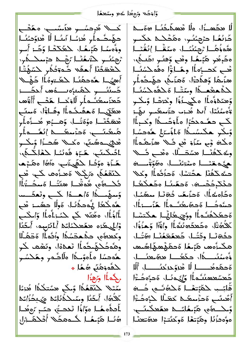كَمِيلًا هُدِمِمُسِي هِلَمِسَمَىٰ: هِمُفْسِي حهُىڞُــه اُب هُـ:ىُــا ٱمنُــا لَّا هُدَوِّصْنُــا ووْهمُا هَبُعُا كَمَكْكُمَا وَكُمْ أُسِرِ ْ رَحِمْنُـــرِ ۖ حَتَّىمُنْــا رُجْـــــــم حَبْـمـحــــمُرِ. لِكَعْقَدُلَا أَحقُد دُّءَوْدُمُرٖ كَمَّهُتْلَا أههْما حدَّمَنْها لحظَ وهُ أَا حَهْبِ الْمَسْتَرَةِ مِنْ خَسْتُنْـــــو لِلصَّبَةِ سَــــوُهــ أَلْحَجَــــــز كَعِذْمِمِكْتُــهِ لَمْ لَلْوَحُـــل هُثْـــي أَأْوَّهَب هكَتِيْهَا هُمعُمْدُهِ أَا وِقَاوَّا هُمنَے ەْھْھَنْسَا ەۇڭسا. ۆھسۇم ھُسزُّەلمُر هْلِي دهَمنِي. هکملا هَدـزًا وُمكــر لمَكْتَبٍ، هَجَرْ قُوتُها كَهْلِتُكُوب هَـزَو هَوۡصًا لِحَقِّي تَنِبِ: هَأَهُا هَضَبۡهِـ لمَنْقَفُكُمْ هُرُكُمْ هُعَدُّهِ كُلِّ هُمِ ثَكِــوهُ هُدشَــا هنّتُــا هُمحُـــّتُواْ وَسِيِّمِكُمْ أَنْ هِـــةُ لَكَــــ وَتُعَكَّـــب هُوجُعَا لِمُوحِكُلًا، وَوِلًا حِمَى: مَٰى لَمَاٰذُلًا، وَهَٰنَهٖ ۖ كُمْ حَسُّرْلُومًا وَٰاِحْکَمِ وْالْمِيكَةِهِ هِمُعِيْدِيَائِكَمْ أَلْمَرْمِيهِ، أَمِثْنُا وكععده حدثم تشكرا وأئماً المتحفظ وهُوَحُـٰلاَهُـدَّەلُمْ نَـْعَـدْهُا، ونَـهُـڢ ـكُـر هُدَمَمُا مِأْوَوُحِدًا مِلَادٌءَ وِهَكْمُـر لِحَقُومُهُمْ الْهُمُّا \* بكمأا وزدارا مِّمْلا لِلثَّقَمُّمُّا وُمِكْمٍ هِمُتكْلًا هُزْمًا لَكُلُّهُ!. أَحَكُنُا وحَمْدِكُمُنُاءً مِّي بِكُنُّاءً لِمَادِهُمْ الْمَوْرُوُ الْمُحْسَنُ حَمْدٍ رُوهُـا هُنُا هَبُسُا كُــومكَلا أُثْلاهُــٰ;ْ إِن

لًا محكّمے:ًا، ولَّا مُعمدَّمتُ الله مَمْحَد كَّرْنُعُـا حَرْجِئْتُـر، ەھَكْـْــْمْ ھَـلْـــر هُهوُهُــا رْجِئْنُــا ومَمْشَــا إِنْقُسْـاً ەكْبِيْدِ كَبُنْغَا وْتْبْ وْقْشْرْ آَصَٰلُهِ. هْبِ كُحِجُّهاً! وِهُـاوُّا هِقُمْحُمُنُـا هزَّىعًا وُهِـأَصْلَا، هُهزَىـمُ حَهَّىحُه أُـر لحدَّمعْهـذَا ومَتْه الصَّدْهُدْسُلَا وَهمَكُمْ وَهُمُلًا مِكْبِ أُوُّلُ وِكْتِرْهُمْ وَمِكْسٍ وْقُعِمُلُدْاً: أَلَكَ هُــزَب حَزْمِعَكَمـِ لِكَــز كّب حصُّـوحدُرُا ولَمْوَصَــدًا وحُــرِلًا وَمِكْرِ هِكْمُسُمَاْ هَاؤُكِلِ هُوَصُل مَكْنَهُ فِي مَنْزَوْ هُي شَكَّ هِنْمُصَالَمَ وهُ ذَكُلُ اللَّهُ مَمْتَ أَلَّا، وَهُبِ دُكِي حدٌمناهُنَّا حَدَّسْهَا، هُدَادُه أَل وحُملا حَكْدَحُصْــة، هَحَمَّىنًا مَحْمَدُهَا ەكرەگەلگ ەدۇمە ئەقلا مىھئا. هَحفَكفُدُه الرُّاهْرِينَ، الْمَشْكَمَة كْلُهُنَّا، وَحُمْدُه بُنُمْأَا واٰوَّٱا وَحْزُوْا، حدُة نَسا وِدَّسُا، حَمْهَمْهُمْسَا الْأَسَّا. هَكْتُرُهِ هَٰهُ مُحَمَّوُهِ وَهُمَهُمْ وَلَهُ عَلَيْهِ مِنْهُم وْهِ مُنْسَـــدًا. حَكَمُـــا هِ هَمْ مِعْنُـــا. ەْھھّەھُـــــــا لَّا ھْدۆخدىكىــــــا، ٱلَّا اشْكُمْ مِنْكُمْ أَلْمَعْنَا، ۚ وَصَدْرَا الْمَسْتَمَدُّوا ۖ قَابِّب حَكَبَتهْـا هَحْدُتُـم حُــف أَهُمسُبِ هَدْزَمعكَــم كَـعْنَـلًا لِكَبُودُــٰٓرَّا وُكِنْ وَهُ وَأَعْدَاسُكُ مِعْمَلَكِينَـــ، ووُودُنُا وهَبَّتِهَا وَدِكْتُتِهَا هِوَهَتَعِثَـا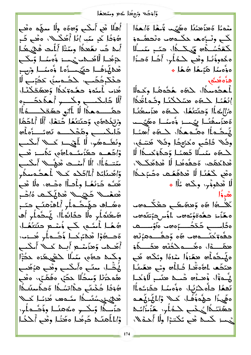وَأَوْحَلا وَرُوهُا هُوم وسُعِدُا

أَهْلَا هُمْ أَمْكُمْ وَ30هُ وَلَا سَمَّهُ 9هُمْ ھُوۡطًا کُمۡ مَّبَ }نُا ٱهۡنُــٰلا}، ەقىع ضَـ أَما حُد بعُمْداً! ومَمْثَا أَلَمْت فَلاَيكْمَا حَرَّمُــا لْأَهُـــــمْـــ رَّــــــز وْهِمُــا وُمكّـــح هْدْلُ:فُــا حيَّىـــ;ُّه ا فُهمْــا وْرَب حنْكَرِدُدَّىبَ، حَدَّےمِعُ تَدَيْبَ لَا هُذِب لمُعدَّد حصَّدتُكُمُّا وُهِهَقَكْنَـا. ٱلْا حَامِكْــــــــو الْمَمْدَكَـــــوه حعُّـــــــــــهــدُا لَا الْأَبْرِ حِمَّتَــْـــــــدُاُ! وْ تِكْلادُّى وَحنّتنُمُا حُتمْا. ٱلْلهُ اْحْجُا كَامْكْب وهُضْلَـــه نُمْتَـــزُّه أَمْ وِنُعْنُــهِ هُو. لَا لَمْقِيْـــر كَــــلا أَمْكْــب وْاجْعِد حعْزُمْدُدادُّى كَلَّمْد مْد مَّتَــهُ أَلَى الْأَ أَمْــد شَيْـــلا أَمْــُـب وَّاهُمىلَائِه ٱلْمَاكَٰك كَمِلًا ۖ اُحْشُومِهُر هَنْد خَزْنُهُا وِلْمَالَ هِ صُـرِهِ. ولَا هُبَ هُعهُما كَتَهَما هُمْهُكُمْ، ةُاضْع ەھُـاھ ھۇمھُـەلُر ٱلمۇھنّے ھئــو هَٰىعُنُمۡلُرٖ وَلَٰا حَثَانُهَ لَٰهٖ لَٰٓ مَحُدۡلُو ﴾ُڡ رَهُ هُــا أُمِنُــمِ كَـــو وُمْـــع حنَّتنُهُــا. هُحِـــوُوْا مُحْمَّدِكُــا وَّحُــوالُرِ مُـــوَبٍّ أَهْلِمَا وَهُنَّمْسُمْ أَبِلَهُ كَمِلاً أَمْكُنَبَ وكُمه حرةُ مَمْلًا لِحَقْبِهِ مَنْ حَثَّةً ا لْمُتَسَارِ. معنّے ہاُمکے وقّے ہوُقتے هُوجُرْلَا وُسِجُلًا حجَّىٰ وَفَقَـّىٰ: وَهُــِ هُوَدًا حُكْسًى حِمَّاتِسُكًا هَحكَمِسَكًا كَمِيمْ لْمُنْهُدَ مَصْصَفْهِ الْمُسْتَنْسِينِ رَحْمَةُ حزَّىــدًا وُحكْـــو مدْهئـــا وِوْحَـــولَمْرِ. وْاٰلمُعَكَّمْ خَرِهُكُمْ وَهُنُكُمْ وَهُدِي أَحْكُمْ

أَهْدَاهُ لَهُمْ سَرِّهُهِ الْمُدَّةُ مَا هُمَا لَهُمَا كُب وِيْسُ هَا حَكْسَاهِ بِالْحَقَسَةِ لِلْمَعْصُدُ مِنْ الْمُكْرِنَ مِلْمُسْتَمَاءَ مِنْ الْمَسْتَمَاءِ ەڭدوذُبًا وقْب كَـدُلُر، أَكُـا ەَحـزًا ەۋەمما ھۇمغا شىغا م **ۣ**؋۫ۛۄۿؙۮۿ أَحدُّومِهْ). كِنَّة حُدَّدَهُا وكُدالُ إِنْعُمُا كِنَّهُ مِنْكَكُنَا وِشُعَاقُدًا هُ الْمُعَالَمَ وَحِنَّتَنَعَلَ حَدَّةٌ وَ عَزَمِعَتُمَا سررْهُه لِـمْهُ، نِـمرْدِ لِــْهُمْنَهُمْ لَمِحْـولًا وهُـومؤا، لِكَـرَهُو أُهمُـا وثَلا مُاصَّع ممُرُوطُ وثَلا هُتنـهُ. لِحْدَةُهِ مِمْسُلًا دُهِمْنَا وُحِذَّوْكُمِيْدًا لَّا مْدْكَهُد، هُحفُّومُدا لُّا مْدْمُكْلِدْ؛ وهْمِ كْمُنْا لُا هْلاَفْعُـْتِ وَشَرِّحْـلًا لُا مُداوِوْنٍ وِكْنَ ءُلَا ﴾ **مْمَرِوْا** مَعَّنُوْ حَقَّدَةُوُكَة مَا أَوُّسْ حَيَّتَكَة مَ ەڭلىسىم كُذّْئُستَ وە مُؤْسَسِي حقَّة وَكُنُـــــــــة من مَنْ مَرْكَــــــة مَزْنَة ههُــــةًا. وهُـــــمللكُلُه هدًـــــدًو دِيَكُوْ الْمَادُوْا مِنْدَادًا وِيُكْلِهِ ۚ هَبِ همّكُم لمُوَوَشَا كُلِّلُه ومْ همْسُلْ لِمُدَوْنَ وُهِيرُه ضُبْطٍ هِنَبٍ لِّأَوْجُبَ تَعفَّا حاڤَحْرُبًا. وفُصْحًا حَضَّفَاًا وَهَيْ الْمَهْوَوُهَا. كَمَلا وْالْمُزْهُمُ مْنَانْمِنْهُ ،بِلْمْكَ سِكْرُ الْمُنْتَمْتَ حْمِيع: كَمِيكُمْ هُدِ مُكْتَبْهِ! وَلَا أَحْدُهُا ۚ: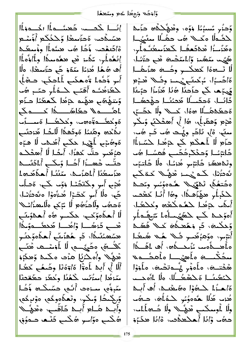أَئْكَلَّ كَحَصَبٌ حَعْبُثَكُما الْخُصُوفِياً! همّىگف، كَتَبْعِيݣَا وُحْكُكُم أَوُّسْمِ ةُاكْتِعْصِرْ: وَّجُلْ هُبَ هِيئُولًا وَوُسِعَكُ }نُعُداُرٍ. كَلَّمَ: شَي هِعْدَمَداً وِأَ}وَّدَاُا أَف شَمُّا هُذِمًا مَّدِّه کُے حَتَّمعْدًا، وَلَٰا أُس وَّدُّه! وَّهمكَب لَمَاحكَ، حــ3لُّه لحَعَّزَهُنَّـهِ أَقْنَــع لَلْــهُ أَر حَنَــرٍ هُ وُسْؤُهُم هؤَمَا كَعِمَدًا حَزَم ەُوكھُــەۋەھەب وكىلىھُــا ەْمىـــاْب بِكُلُده وِهَبْنَا هُوِكُعِكَا لَاجُبَا هُزِينَب هُوهُ بِهِ أَيْنَ الْكُلْبِ أَهْلِمَا الْلَّا هِجْهِ هزُهُس حتَّ عُدْرًا، أَحْا لًا أُهفَكِ حتَّــد ضَعبُدًا أَحُـــا وَّـكَـــع ٱلمَّنَّــــم هِزَمِعِكُمْ أَلْمَدُومٍ مِمْنُسُلٍ أَهْلَاَهُدِهِ } هُبْهِي أَمِرٍ وِكْتَحَْدَا وَوَّى كُلِّي. هُصَلُّ كَ: هأَلا أَس كَدَّبْرا هُـتُّووْا ونُوصُّهَا. ەَحەمَد وِلَاحزُوْهِ لَا عَرِّكُمْ وَلَاحِقزُ/صَلَا لًا أَهلُه\$ەدِّكَب: حكَّسر ۞ه أَهلادُّمَّب قُصِي حَزْهُكُمْ وْاهْكُمْ هَٰدْهَنَّـْدَوَّىٰهُ ۖ ھسّمئنّىدُا، كَرِ هُڪْئِٽَ أَهِدَّەوَكِتُو كَلُّسْتَمْ، وَضَيُّوبُ لَمَّا لَمُؤْمِنَتُمْ وَهُكُمْ هُدُيلًا وأَهكْرُبُل هَٰذِك مَكْسِدًا وُهكَذٍوْ ٱلْلا ﴾ أبيا لمُووّْل وَاوْوُدْلا وحُمِعُبِ كَعْمَا مَّزِهُا إِمِيُّرَتَّبِ كَمُبَا وِكَيْنَ دِيْخَةِ لِلْهَامِنَا مَمْرِؤُقٍ مَسْرُدَتِ أَنَّفٍ حَمَّمَكُنَّ وَّخُتَلَ وَٰٰٰٰٓٓٓٓہِ کُمُوں کُم کُو کُو وَاللّٰہِ کُوۡنِہُ کُوۡنَہُ کُوۡنَہُ کُوۡنَہُ کُوۡنَہُ کُوۡنَہُ کُوۡ وأب هُام أب خَاقُبٍ. هِ هُنْ ھُكُب ەَوَّاسو ھُكُب كُلُبُ دَعَوُفٍ

وَّدَٰٓءَ ۖ مُسبُمَّا وَوَّهَ. وِهُوَكُلُّهُ ۖ دَنَّكُمْ لْمَشْمَلًا مَكْلًا هُمَا حَقُلًا مِنْهَا ەھَنَّىـزُا ھُھكَمكُـا كَعزَىمعُنَـُـەلَمِ. مَكَيْبَ مَعْشَمَةٍ وَٱلْمَعْضَّدَةِ شَي حَتَّمَـٰاً. لًا نَـــ6% كَعكـــو وحُـــة هنَّمعُــا هْ اُحُساْ الْمَ يُسْمَدُ مِنْكَ الْمَسْهِمْ يُّدِّمُ لَكُمْ حَاْحِبًا هَٰ لَهُ هُنَّمَٰ الْحَبَّمَالِ حَبَّمَتُ دَّائْــا. ەَحكَـــلَّا هُدىُنْــا حهْـمھُــا هُحعَكِمصُـلًا هؤا. كَـــلا ولًا حصّــّى مْدْمِ وَهِمْ لِمَّ. هَا أَنْ أَهْشَكْتُ وُحْكُو معَبٍّ، وَّلَى قَادَمٍ وِلُحِت رَجَّت كُمْ رَجَّتَ دَّمَ لَا أَحكُم كَبِ دَمَدًا حَسَّائًا دَٰانِبۡنَـا وۡحِذۡتَہِڡُھَٮ ٖڡُعِسٗـا ہُٮ ولْمَعهُمْ حُلَّتِهِب هُزْسًا. ولَّا حُلْتَهِب شَامَتْ الْمُهُمْ نِسْرٌ مَكْ. الْمُتَعَمَّل ەكتىمگى ئىقى لا ھُەەۋسُر وڭھىد لِكُبِلُرِ هِيَّزُفِكُلُّ وِهَٰا أَنْبَا كَعْفِ أَمكُم حَرَّهُا لِحَسَّمَكُفُرُه ومُحْكُمًا. أُهْوَجِيمَ لَحَمْ لِلْحَمَّيْ الْمَاءُ سَّرْجَعْهُ الْمَرْ وُحكْمة، ثَمِ وَهَعطِمُة كَمِلا فَقَصَط أَتَبْسٍ وَوَدَبَقَسِ ثَــلا هُــلا هُمعُـل وأهكأومد غُمْدكُهِ . أُه الْهَكُم سكتْك الكِمْ أَمَنَّ مَا مَا مَكْتَ ۿڞٛت؋ۥ۫ ەڵؙ؋**ڹٛڔ**ۑۢ؎ڷڞٛۿ؞ڡڵؘۏۅٛ*ٝ*ٳ كْتَعْبُدُ لِمَكْتُمْتُ لَلْ وَلَا لِمُؤْمِنَ كَاهِدُ لِمَدْدُهُوْا هِ هُمْشَدِينَ أَهِ أَيْدِهِ هُذِب هَٰلًا حَدُّهُ وَبُنِي حَـدُاُهَ. حــهُت وِلَا ـاُومىكَـب مْدْيَــٰلا وِلَا حُــٰدَىلَـات. دهُ وْٱللَّا ٱلْعَلَـٰهَاهُ وَٱللَّهُ هَذَاءُ وَالْمُعَلَّمَ